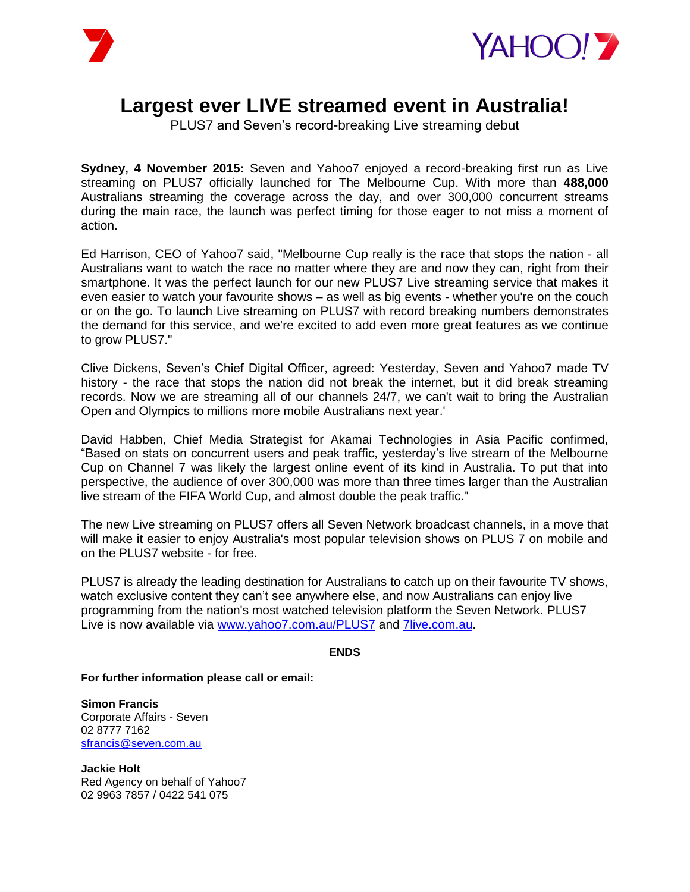



## **Largest ever LIVE streamed event in Australia!**

PLUS7 and Seven's record-breaking Live streaming debut

**Sydney, 4 November 2015:** Seven and Yahoo7 enjoyed a record-breaking first run as Live streaming on PLUS7 officially launched for The Melbourne Cup. With more than **488,000**  Australians streaming the coverage across the day, and over 300,000 concurrent streams during the main race, the launch was perfect timing for those eager to not miss a moment of action.

Ed Harrison, CEO of Yahoo7 said, "Melbourne Cup really is the race that stops the nation - all Australians want to watch the race no matter where they are and now they can, right from their smartphone. It was the perfect launch for our new PLUS7 Live streaming service that makes it even easier to watch your favourite shows – as well as big events - whether you're on the couch or on the go. To launch Live streaming on PLUS7 with record breaking numbers demonstrates the demand for this service, and we're excited to add even more great features as we continue to grow PLUS7."

Clive Dickens, Seven's Chief Digital Officer, agreed: Yesterday, Seven and Yahoo7 made TV history - the race that stops the nation did not break the internet, but it did break streaming records. Now we are streaming all of our channels 24/7, we can't wait to bring the Australian Open and Olympics to millions more mobile Australians next year.'

David Habben, Chief Media Strategist for Akamai Technologies in Asia Pacific confirmed, "Based on stats on concurrent users and peak traffic, yesterday's live stream of the Melbourne Cup on Channel 7 was likely the largest online event of its kind in Australia. To put that into perspective, the audience of over 300,000 was more than three times larger than the Australian live stream of the FIFA World Cup, and almost double the peak traffic."

The new Live streaming on PLUS7 offers all Seven Network broadcast channels, in a move that will make it easier to enjoy Australia's most popular television shows on PLUS 7 on mobile and on the PLUS7 website - for free.

PLUS7 is already the leading destination for Australians to catch up on their favourite TV shows, watch exclusive content they can't see anywhere else, and now Australians can enjoy live programming from the nation's most watched television platform the Seven Network. PLUS7 Live is now available via [www.yahoo7.com.au/PLUS7](https://au.tv.yahoo.com/plus7/#page1) and [7live.com.au.](http://www.7live.com.au/)

## **ENDS**

**For further information please call or email:**

**Simon Francis**  Corporate Affairs - Seven 02 8777 7162 [sfrancis@seven.com.au](mailto:sfrancis@seven.com.au)

**Jackie Holt** Red Agency on behalf of Yahoo7 02 9963 7857 / 0422 541 075